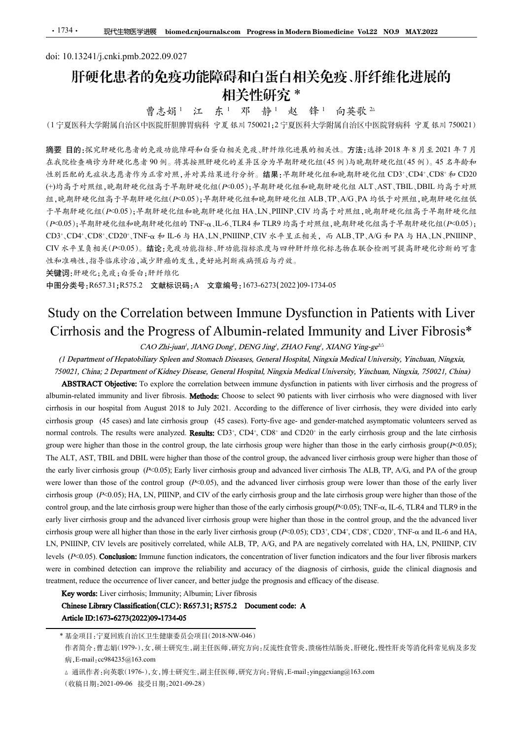# doi: 10.13241/j.cnki.pmb.2022.09.027 肝硬化患者的免疫功能障碍和白蛋白相关免疫、肝纤维化进展的 相关性研究 \* 曹志娟 <sup>1</sup> 江 东 <sup>1</sup> 邓 静 <sup>1</sup> 赵 锋 <sup>1</sup> 向英歌 <sup>2</sup>△

(<sup>1</sup> 宁夏医科大学附属自治区中医院肝胆脾胃病科 宁夏 银川 <sup>750021</sup>;<sup>2</sup> 宁夏医科大学附属自治区中医院肾病科 宁夏 银川 <sup>750021</sup>)

摘要 目的:探究肝硬化患者的免疫功能障碍和白蛋白相关免疫、肝纤维化进展的相关性。方法:选择 2018 年 8 月至 2021 年 7 月 在我院检查确诊为肝硬化患者 90 例。将其按照肝硬化的差异区分为早期肝硬化组(45 例)与晚期肝硬化组(45 例)。45 名年龄和 性别匹配的无症状志愿者作为正常对照,并对其结果进行分析。结果:早期肝硬化组和晚期肝硬化组 CD3+、CD4+、CD8+和 CD20 (+)均高于对照组,晚期肝硬化组高于早期肝硬化组(P<0.05);早期肝硬化组和晚期肝硬化组 ALT、AST、TBIL、DBIL 均高于对照 组,晚期肝硬化组高于早期肝硬化组(P<0.05);早期肝硬化组和晚期肝硬化组 ALB、TP、A/G、PA 均低于对照组,晚期肝硬化组低 于早期肝硬化组(P<0.05);早期肝硬化组和晚期肝硬化组 HA、LN、PIIINP、CIV 均高于对照组,晚期肝硬化组高于早期肝硬化组  $(P<0.05)$ ; 早期肝硬化组和晚期肝硬化组的 TNF- $\alpha$ 、IL-6、TLR4 和 TLR9 均高于对照组, 晚期肝硬化组高于早期肝硬化组 $(P<0.05)$ ; CD3+、CD4+、CD8+、CD20+、TNF-α和 IL-6 与 HA、LN、PNIIINP、CIV 水平呈正相关,而 ALB、TP、A/G 和 PA 与 HA、LN、PNIIINP、 CIV 水平呈负相关(P<0.05)。结论:免疫功能指标、肝功能指标浓度与四种肝纤维化标志物在联合检测可提高肝硬化诊断的可靠 性和准确性,指导临床诊治,减少肝癌的发生,更好地判断疾病预后与疗效。 **THE FOR THE THE THE THE THE THE THE STUDY AND THE CORRECT INTO THE CORRECT INTO THE THE CORRECT THE CORRECT INTO THE CORRECT INTO THE CORRECT INTO THE CORRECT INTO THE CORRECT INTO THE CORRECT INTO THE CORRECT INTO THE** 177厘医科大学問題自治区生活部長、音楽、体育、基盤、インストンの製品系統、公式、日本部、2012年、177<br>
177 医前抗水溶性 2012年、18世間の 1790211277 医型科大学問題自治区中医院科学 2012年、7月<br>
189 国的、成文科研究化急者的急及功能学科和存在的关系及外科纤维化能系的机关性。方法:选择2018年8月、4年2018年7月、18年4年から、1790年、18月、18日、1791年、1791年、1791年、 # 90 例。将共接照肝硬化的差异区分外平期肝硬化组(45 例)与晚期肝硬化组(45 例)、45 名年龄和<br>方正常対照,并对其格系进行多体。 錯課: 平均肝硬化组(45 例)与晚期肝硬化(10 %)、CD8\* 6-CD20<br>化组高于平期所硬化组(P-0.05);平均肝硬化组 ALB, TP.A/G, PA 均低(1 QDS), CD8\* GD20<br>F板化组(P-0.05);平均肝硬化组和电视肝硬化组 ALB, TP.A/G, PA 均 法制度化。<br>
albumin-related impures in the select of the select 90 patient of the difference of First Choose in the choose of the select 90 patients with the time to the none of Time to the patients with the the select 90 pat cirrhosis in our hospital from August 2018 to July 2021. According to the difference of liver cirrhosis, they were divided into early

关键词:肝硬化;免疫;白蛋白;肝纤维化

中图分类号:R657.31;R575.2 文献标识码:A 文章编号:1673-6273(2022)09-1734-05

gr. e& 無肝受化加高); キ海肝受化組(P-0105); 平均肝受化组和电气区内和电气区内。ALTP, AKi, PA 均低大自主性、主海肝炎化组、大脑<br>C-19.517 cases); 半海肝受化維神电系化组、神人以, UTINP, CIV 为高テ才照相, 地位相互化组有半化组高, 14<br>(P-0105); 平場肝受化維神機化維 TNF-α, H-6, TLR4 # TLR9 公晶, TLR9, 特照相, 地位组合产平制肝受化 テ平期肝硬化統(Fe0.05);平期肝硬化統制肝硬化統一統計、FUNINT, CIV 均高于叶風統、農期肝硬化統高于平均、<br>(Fe0.05);卡期時被化組和免病開機化組和(F.G.U.B.C.THA for TLR9, CIV 均高于対策組、映測肝硬化組高テ平均<br>CO13-CONF,F-物所被化組の下降、TLR-G.TLR4 for TLR9, ST台東統組、表明核化組高テ平均所を化地<br>CO13-COHF.CO25、CIVになる、成分 组 HA,LN,PIINP,CIV 均高于对照组,晚期肝硬化组高于早期肝硬化组<br>ILR4 和 TLR9 均高子对照组,晚期肝硬化组高于早期肝硬化组(2005);<br>ILR4 和 TLR9 均高子外照组,晚期肝硬化组高于与期开硬化组(P-0.05);<br>IIINP,CIV 水平呈正相关, 而 ALB,TP,A/G 和 PA 与 HA,LN,PNIIINP,<br>能指标波度与四种肝纤维化标志物在联合检测可提高肝硬化诊断的可靠<br>,表现后与疗线,<br>5<br> LN, PIINP, CIV 均高于对照组, 晚期肝硬化组高于早期肝硬化组<br>
is TLR9 均高于对照组, 晚期肝硬化组高于早期肝硬化组(P-0.05);<br>
TLR9 均高于対照组, 晩期肝硬化组高于早期肝硬化组(P-0.05);<br>
TLY 水平呈正相关, 而 ALB, TP, A/G 和 PA 与 HA, LN, PNIINP,<br>
浓度与可种肝纤维化标志物在联合检测可接高肝硬化诊断的可靠<br>
The SA C HO THE TREAD INP, CIV 均高于对照纽, 晚期肝硬化纽高于早期肝硬化组<br>5月与高于对照纽, 晚期肝硬化纽高于早期肝硬化组<br>5月开始照组, 晚期肝硬化组高于早期肝硬化组(K-0.05);<br>F.呈正相关, 而 ALB, TP, A/G 和 PA 与 HA, LN, PNIINP,<br>my科肝纤维化标志物在联合检测可提高肝硬化诊断的可靠<br>3%。<br>2022 )09-1734-05<br><br>Dysfunction in Patients with Liver<br>at in F <sub>对照</sub> M <sub>(</sub> 乾期肝硬化组高于早期肝硬化组<br><br>
K组, 晚期肝硬化组高于早期肝硬化组(P<0.05);<br>
, 而 ALB、TP、A/G 和 PA 与 HA、LN、PNIIINP、<br>
化标志物在联合检测可提高肝硬化诊断的可靠<br>
<br>
34-05<br> **nction in Patients with Liver**<br>
<br> **implaying and Liver Fibrosis\***<br>
<br>
<br> *this wise, Wing-g* group were higher than those in the control group, the late cirrhosis group were higher than those in the early cirrhosis group(P<0.05); CD3<sup>2</sup>; CD4<sup>2</sup>; CD3<sup>2</sup>; CD3<sup>2</sup>; CD3<sup>2</sup>; TN1-et  $\phi$  B 1.6, LN, PNIIINP, CW  $\phi \neq \pm 2.4\pi\beta$ ,  $\phi$  ALH, PP, ANT, PNIIINP, CW  $\phi \neq \pm 2.4\pi\beta$ ,  $\beta \leq \pi N$ ,  $\pm 2.4\pi\beta$ ,  $\beta \leq \pi N$ ,  $\pm 2.4\pi\beta$ ,  $\beta \leq \pi N$ ,  $\pm 2.4\pi\beta$ CIV  $x + y, \frac{8}{3} \times (x - 0.05)$ ,  $\frac{4}{36} \times \frac{8}{36} \times \frac{4}{36} \times \frac{4}{36} \times \frac{4}{36} \times \frac{4}{36} \times \frac{4}{36} \times \frac{4}{36} \times \frac{4}{36} \times \frac{4}{36} \times \frac{4}{36} \times \frac{4}{36} \times \frac{4}{36} \times \frac{4}{36} \times \frac{4}{36} \times \frac{4}{36} \times \frac{4}{36} \times \frac{4}{36} \times \frac{4}{36} \times$ N.6  $\#$ ,  $\#$   $\#$  6  $\&$  5  $\&$  7  $\&$  7  $\&$  7  $\&$  7  $\&$  7  $\&$  7  $\&$  7  $\&$  7  $\&$  7  $\&$  7  $\&$  7  $\&$  7  $\&$  7  $\&$  7  $\&$  7  $\&$  7  $\&$  7  $\&$  7  $\&$  7  $\&$  7  $\&$  7  $\&$  7  $\&$  7  $\&$  7  $\&$  7  $\&$  7  $\&$  7 关键词:# R: fc; As,R: i *o* <del>K</del> a :# ###\$&<br>
EHD分类 F: ANS575.2 文献标识码, A 文字编号:1673-6275(2022)09-1734-05<br>
Study on the Correlation between Immune Dysfunction in Patients with Liver<br>
Critrhosis and the Progress of Albumin-rela control group, and the late cirrhosis group were higher than those of the early cirrhosis group(P<0.05); TNF-琢, IL-6, TLR4 and TLR9 in the Study on the Correlation between Immune Dysfunction in Patients with Liver<br>Cirrhosis and the Progress of Albumin-related Immunity and Liver Fibrosis\*<br>
CAO Zhi-juan: JANNO Dong', DENO Jing', ZHAO Fong', XIANO Ting-gr<sup>ov</sup><br> Study on the Correlation between Immune Dysfunction in Patients with Liver<br>Cirrhosis and the Progress of Albumin-related Immunity and Liver Fibrosis\*<br>
CAO Zhijaan', JANO Dong, DENO Jing', ZHAO Feng', XIANO Ying-ge<sup>25</sup><br>
(D ction in Patients with Liver<br>
nunity and Liver Fibrosis\*<br>
XIANG Ying-ge<sup>20</sup><br>
xia Medical University, Yinchuan, Ningxia,<br>
niversity, Yinchuan, Ningxia, 750021, China)<br>
patients with liver cirrhosis and the progress of<br>
niv **n in Patients with Liver**<br>ity and Liver Fibrosis\*<br> $7$  *Ying-ge<sup>26</sup>*<br>*dical University, Yinchuan, Ningxia,*<br>*ity, Yinchuan, Ningxia, 750021, China)*<br>is with liver cirrhosis and the progress of<br>cirrhosis, they were diagnos Patients with Liver<br>
and Liver Fibrosis\*<br>  $-ge^{2\alpha}$ <br>
University, Yinchuan, Ningxia,<br>
chuan, Ningxia, 750021, China)<br>
liver cirrhosis and the progress of<br>
si who were diagnosed with liver<br>
ossis, they were divided into ear ents with Liver<br> *ity, Yinchuan, Ningxia,*<br> *ity, Yinchuan, Ningxia,*<br> *Ningxia, 750021, China)*<br>
rrhosis and the progress of<br>
were diagnosed with liver<br>
y were divided into early<br>
matic volunteers served as<br>
roup and the Octary of the Correlation of Correlation Correlation in The distribution of The distribution in The Correlation Correlation Correlation in The Correlation Correlation in The Correlation in The Correlation in the Correlat CIITINOSIS and the Progress of Albumin-related Immunity and Liver Fibrosis<sup>76</sup><br>(*1 Department of Beganity (Not Division in MNG Dower, DENG Jing), ZHAO Tengi, XHAO Ying-ge<sup>22</sup><br>(<i>1 Department of Ridney Sphere and Stomset) D* CAO Zhi-joun". JIANG Dongt, DENG Jing", ZIIANG Peng', XIANG Ying-ge"<br>
750021. China: 2 Department of Kinher Disease. General Hospital, Ningaja Medical University, Yinchuma, Ningain, 20021. China:<br> **ABSTRACT Objective:** 10 (*1 Department of Hepatobiliary Spleers and Stomach Diseases, General Hospital, Ningxin Medical University, Yinchuna, Ningxin<br>750021, China; 2 Department of Kinking Disease, General Hospital, Ningxin Medical University, Y* 30023, Chinas 2 Department of Kidney Disease, General Hospital, Ningxis Medical University, Yirechson, Ningxist, 750021, China)<br>
ABSTRACT Objective: To explore the cortelator between immune dysthered in patients with live

(收稿日期:2021-09-06 接受日期:2021-09-28)

作者简介:曹志娟(1979-),女,硕士研究生,副主任医师,研究方向:反流性食管炎,溃疡性结肠炎,肝硬化,慢性肝炎等消化科常见病及多发 病,E-mail:cc984235@163.com

<sup>△</sup> 通讯作者:向英歌(1976-),女,博士研究生,副主任医师,研究方向:肾病,E-mail:yinggexiang@163.com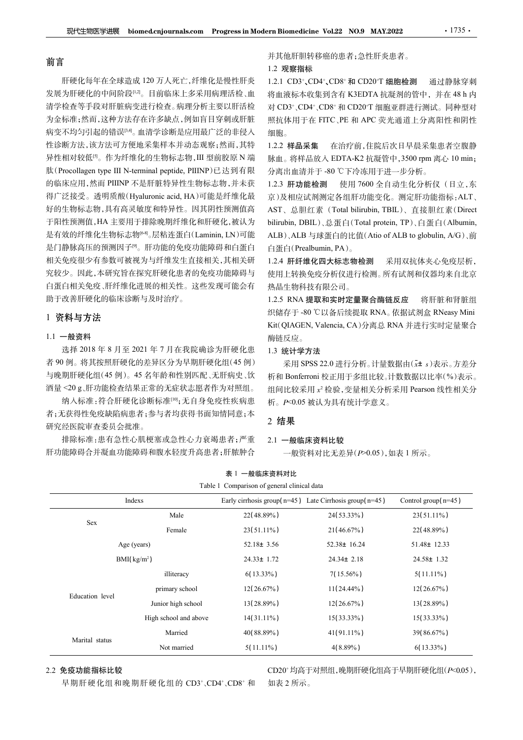# 前言

肝硬化每年在全球造成 120 万人死亡,纤维化是慢性肝炎 发展为肝硬化的中间阶段[12]。目前临床上多采用病理活检、血 将血液标本收集到含有 K3EDTA 抗凝剂的管中, 并在 48 h 内 清学检查等手段对肝脏病变进行检查。病理分析主要以肝活检 为金标准;然而,这种方法存在许多缺点,例如盲目穿刺或肝脏 病变不均匀引起的错误<sup>[3,4]</sup>。血清学诊断是应用最广泛的非侵入 性诊断方法,该方法可方便地采集样本并动态观察;然而,其特 异性相对较低<sup>[5]</sup>。作为纤维化的生物标志物,III 型前胶原 N 端 。脉血。将样品放入 EDTA-K2 抗凝管中, 3500 rpm 离心 10 min; 肽(Procollagen type III N-terminal peptide, PIIINP)已达到有限 的临床应用,然而 PIIINP 不是肝脏特异性生物标志物,并未获 1.2.3 肝功能检测 得广泛接受。透明质酸(Hyaluronic acid, HA)可能是纤维化最 好的生物标志物,具有高灵敏度和特异性。因其阴性预测值高 AST、总胆红素 (Total bilirubin, TBIL)、直接胆红素 (Direct 于阳性预测值,HA 主要用于排除晚期纤维化和肝硬化,被认为 bilirubin, DBIL)、总蛋白(Total protein, TP)、白蛋白(Albumin, 是有效的纤维化生物标志物[6-8]。层粘连蛋白(Laminin, LN)可能 是门静脉高压的预测因子[9]。肝功能的免疫功能障碍和白蛋白 相关免疫很少有参数可被视为与纤维发生直接相关,其相关研 究较少。因此,本研究旨在探究肝硬化患者的免疫功能障碍与 白蛋白相关免疫、肝纤维化进展的相关性。这些发现可能会有 助于改善肝硬化的临床诊断与及时治疗。 # Henavick s = F-20 a Henavice software, in a main a mean a mean a mean a mean a mean a mean a mean and a streaming of the mean and the mean and the controlling of the mean and the controlling of the mean of the controll

# 1 资料与方法

# 1.1 一般资料

并其他肝胆转移癌的患者;急性肝炎患者。

#### 1.2 观察指标

1.2.1 CD3+ 、CD4+、CD8+ 和 CD20+T 细胞检测 通过静脉穿刺 将血液标本收集到含有 K3EDTA 抗凝剂的管中,并在 48 h <sup>内</sup> 对 CD3+、CD4+、CD8+ 和 CD20+T 细胞亚群进行测试。同种型对 照抗体用于在 FITC、PE 和 APC 荧光通道上分离阳性和阴性 细胞。 **:rn Biomedicine Vol.22 NO.9 MAY.2022 42:20:**<br>并其他肝胆转移癌的患者;急性肝炎患者。<br>1.2 **观察指标**<br>1.2.1 CD3、CD4、CD8\*和 CD20丁细胞检测 通过静脉穿刺<br>将血液标本收集到含有 K3EDTA 抗凝剂的管中,并在 48 h 内<br>对 CD3、CD4\*、CD8\*和 CD20丁细胞亚群进行测试。同种型对<br>对 CD3\*、CD4\*、CD8\*和 CD20丁细胞亚群进行测试。同种型

1.2.2 样品采集 在治疗前,住院后次日早晨采集患者空腹静 分离出血清并于 -80 ℃下冷冻用于进一步分析。

1.2.3 肝功能检测 使用 7600 全自动生化分析仪(日立,东 京)及相应试剂测定各组肝功能变化。测定肝功能指标:ALT、 **rn Biomedicine Vol.22 NO.9 MAY.2022 41735·**<br>并其他肝胆转移癌的患者;急性肝炎患者。<br>1.2 观察指标<br>1.2 观察指标<br>1.2.1 CD3、CD4、CD8<sup>·</sup>和 CD20T 细胞检测 - 通过静脉穿刺<br>将血液标本收集到含有 K3EDTA 抗凝剂的管中,并在 48 h 内<br>对 CD3<sup>·</sup>、CD4<sup>+</sup>、CD8<sup>·</sup>和 CD20T 细胞亚群进行测试。同种型对<br><br>反 CD3<sup>·</sup>、CD4<sup>+</sup> **zn Biomedicine Vol.22 NO.9 MAY.2022 41735 .**<br>并其他肝胆特移癌的患者;急性肝炎患者。<br>1.2 观察指标<br>1.2 双雾指标<br>1.2 LOB3~,CD4~,CD8\*和 CD20丁细胞检测 通过静脉穿刺<br>将血液标本收集到含有 K3EDTA 抗凝剂的管中,并在 48 h 内<br>对 CD3~,CD4+,CD8\*和 CD20丁细胞亚群进行测试。同种型对<br>对 CD3~,CD4+,CD8\*和 CD20丁细胞亚 **rn Biomedicine Vol.22 NO.9 MAY.2022 44 1735 ·**<br>并其他肝胆转移癌的患者;急性肝炎患者。<br>1.2 观察指标<br>1.2.1 CD3、CD4、CD8<sup>。</sup>和 CD20<sup>-</sup>T 细胞检测 通过静脉穿刺<br>物血液标本收集到含有 K3EDTA 抗凝剂的管中,并在 48 h 内<br>机应 D3<sup>3</sup>、CD4、CD8<sup>\*</sup>和 CD20<sup>-</sup>T 细胞亚群进行测试。同种型对<br>照片 (D3<sup>+</sup>,CD4+ CD8<sup>+</sup> srn Biomedicine Vol.22 NO.9 MAY.2022<br>并其他肝胆转移癌的患者;急性肝炎患者。<br>1.2 观察指标<br>1.2.1 CD3~,CD4~,CD8~和 CD20~T 细胞检测 通过静脉穿刺<br>1.2.1 CD3~,CD4~,CD8~和 CD20~T 细胞检测 通过静脉穿刺<br>将血液标本收集到含有 K3EDTA 抗凝剂的管中,并在 48 h 内<br>对 CD3 \*,CD4~,CD8~和 CD20~T 细胞亚群进行测试。同种型 <sup>1.2</sup>.2.5 RNA 提取公司<br>1.2.1 CD3~,CD4~,CD8\*和 CD20~T 细胞检测 - 通过静脉穿刺<br>将血液标本收集到含有 K3EDTA 抗凝剂的管中,并在 48 h 内<br>对 CD3<sup>+</sup>,CD4<sup>+</sup>,CD8\*和 CD20~T 细胞亚群进行测试。同种型对<br>对 CD3<sup>+</sup>,CD4<sup>+</sup>,CD8\*和 CD20~T 细胞亚群进行测试。同种型对<br>照片体用于在 FITC ,PE 和 APC 荧光通道上分离阳性和阴性<br>细胞 1.2.1. ABC - (Color of Wolfer The Mass of Water of Working Marino 2.1<br>4.8世代本收集到含有 K3EDTA 抗凝剂的管中,并在48 b内<br>对 CD3、CD4、CD8 和 CD20 T 细胞亚群进行测试。同种型对<br>照抗体用于在 FITC、PE 和 APC 荧光通道上分离阳性 和阴性<br>照片机用于在 FITC、PE 和 APC 荧光通道上分离阳性 和阴性<br>点,相对 -8 valuer, to, exp-r is a contractive of the control of the control of the control of the control of the control and the control of the control and the control and the control and the control of the control of the control of 采用 SPSS 22.0 进行分析。计量数据由(x<sup>±</sup> <sup>s</sup>)表示。方差分

# 1.3 统计学方法

### 2 结果

### 2.1 一般临床资料比较

|                    | 相关免疫很少有参数可被视为与纤维发生直接相关,其相关研     |                                             |           | 1.2.4 肝纤维化四大标志物检测                                              | 采用双抗体夹心免疫层析,            |
|--------------------|---------------------------------|---------------------------------------------|-----------|----------------------------------------------------------------|-------------------------|
|                    | 诧较少。因此,本研究旨在探究肝硬化患者的免疫功能障碍与     |                                             |           | 使用上转换免疫分析仪进行检测。所有试剂和仪器均来自北京                                    |                         |
|                    | 白蛋白相关免疫、肝纤维化进展的相关性。这些发现可能会有     |                                             |           | 热晶生物科技有限公司。                                                    |                         |
| 助于改善肝硬化的临床诊断与及时治疗。 |                                 |                                             |           | 1.2.5 RNA 提取和实时定量聚合酶链反应                                        | 将肝脏和肾脏组                 |
| 资料与方法              |                                 |                                             |           | 织储存于-80 ℃以备后续提取 RNA。依据试剂盒 RNeasy Mini                          |                         |
| .1 一般资料            |                                 |                                             | 酶链反应。     | Kit(QIAGEN, Valencia, CA)分离总 RNA 并进行实时定量聚合                     |                         |
|                    | 选择 2018年8月至 2021年7月在我院确诊为肝硬化患   |                                             | 1.3 统计学方法 |                                                                |                         |
|                    | 者90例。将其按照肝硬化的差异区分为早期肝硬化组(45例)   |                                             |           | 采用 SPSS 22.0 进行分析。计量数据由(x± s)表示。方差分                            |                         |
|                    | 与晚期肝硬化组(45例)。45名年龄和性别匹配、无肝病史、饮  |                                             |           | 析和 Bonferroni 校正用于多组比较。计数数据以比率(%)表示。                           |                         |
|                    | 酉量 <20 g、肝功能检查结果正常的无症状志愿者作为对照组。 |                                             |           | 组间比较采用 x2 检验, 变量相关分析采用 Pearson 线性相关分                           |                         |
|                    | 纳入标准:符合肝硬化诊断标准[10];无自身免疫性疾病患    |                                             |           | 析。P<0.05 被认为具有统计学意义。                                           |                         |
|                    | 者;无获得性免疫缺陷病患者;参与者均获得书面知情同意;本    |                                             | 2 结果      |                                                                |                         |
| 研究经医院审查委员会批准。      |                                 |                                             |           |                                                                |                         |
|                    | 排除标准:患有急性心肌梗塞或急性心力衰竭患者;严重       |                                             |           | 2.1 一般临床资料比较                                                   |                         |
|                    | 阡功能障碍合并凝血功能障碍和腹水轻度升高患者;肝脓肿合     |                                             |           | 一般资料对比无差异(P>0.05),如表 1 所示。                                     |                         |
|                    |                                 | 表 1 一般临床资料对比                                |           |                                                                |                         |
|                    |                                 | Table 1 Comparison of general clinical data |           |                                                                |                         |
|                    | Indexs                          |                                             |           | Early cirrhosis group( $n=45$ ) Late Cirrhosis group( $n=45$ ) | Control group( $n=45$ ) |
| Sex                | Male                            | 22(48.89%)                                  |           | 24(53.33%)                                                     | 23(51.11%)              |
|                    | Female                          | $23(51.11\%)$                               |           | $21(46.67\%)$                                                  | 22(48.89%)              |
|                    | Age (years)                     | $52.18 \pm 3.56$                            |           | 52.38± 16.24                                                   | 51.48± 12.33            |
|                    | BMI(kg/m <sup>2</sup> )         | $24.33 \pm 1.72$                            |           | 24.34± 2.18                                                    | 24.58± 1.32             |
|                    | illiteracy                      | $6(13.33\%)$                                |           | $7(15.56\%)$                                                   | $5(11.11\%)$            |
|                    | primary school                  | 12(26.67%)                                  |           | $11(24.44\%)$                                                  | 12(26.67%)              |
| Education level    | Junior high school              | 13(28.89%)                                  |           | $12(26.67\%)$                                                  | 13(28.89%)              |
|                    | High school and above           | $14(31.11\%)$                               |           | $15(33.33\%)$                                                  | $15(33.33\%)$           |
|                    |                                 |                                             |           |                                                                |                         |
| Marital status     | Married                         | 40(88.89%)                                  |           | $41(91.11\%)$                                                  | 39(86.67%)              |

# 2.2 免疫功能指标比较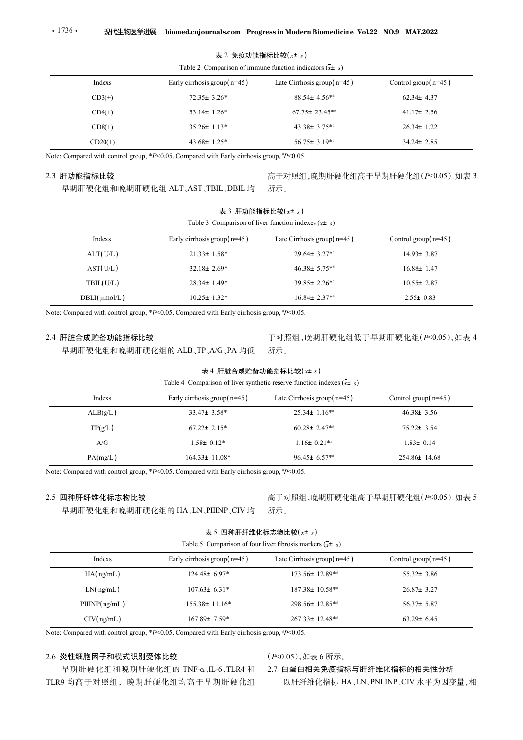#### 表 2 免疫功能指标比较 $(\bar{x}$ ± s)

|  | Table 2. Comparison of immune function indicators ( $x\pm s$ |  |  |
|--|--------------------------------------------------------------|--|--|

| 现代生物医学进展                  |                                                                                           | biomed.cnjournals.com Progress in Modern Biomedicine Vol.22 NO.9 MAY.2022                        |                                         |
|---------------------------|-------------------------------------------------------------------------------------------|--------------------------------------------------------------------------------------------------|-----------------------------------------|
|                           |                                                                                           |                                                                                                  |                                         |
| $\cdot$ 1736 $\cdot$      |                                                                                           |                                                                                                  |                                         |
|                           |                                                                                           |                                                                                                  |                                         |
|                           |                                                                                           |                                                                                                  |                                         |
|                           |                                                                                           | 表 2 免疫功能指标比较 $(\bar{x}$ ± s)                                                                     |                                         |
| Indexs                    |                                                                                           | Table 2 Comparison of immune function indicators $(\bar{x} \pm s)$<br>Late Cirrhosis group(n=45) |                                         |
|                           | Early cirrhosis group( $n=45$ )                                                           | 88.54± 4.56**                                                                                    | Control group(n=45)<br>$62.34 \pm 4.37$ |
| $CD3(+)$                  | $72.35 \pm 3.26*$                                                                         |                                                                                                  | $41.17 \pm 2.56$                        |
| $CD4(+)$                  | 53.14 $\pm$ 1.26*                                                                         | 67.75± 23.45**                                                                                   |                                         |
| $CD8(+)$                  | 35.26± 1.13*                                                                              | 43.38± 3.75**                                                                                    | $26.34 \pm 1.22$                        |
| $CD20(+)$                 | $43.68 \pm 1.25^*$                                                                        | 56.75± 3.19**                                                                                    | 34.24± 2.85                             |
|                           | Note: Compared with control group, *P<0.05. Compared with Early cirrhosis group, #P<0.05. |                                                                                                  |                                         |
| 2.3 肝功能指标比较               |                                                                                           | 高于对照组,晚期肝硬化组高于早期肝硬化组(P<0.05),如表 3                                                                |                                         |
|                           | 早期肝硬化组和晚期肝硬化组 ALT、AST、TBIL、DBIL 均                                                         | 所示。                                                                                              |                                         |
|                           | 表 3 肝功能指标比较 $(\bar{x}$ ± s)                                                               |                                                                                                  |                                         |
|                           |                                                                                           | Table 3 Comparison of liver function indexes $(\bar{x} \pm s)$                                   |                                         |
| Indexs                    | Early cirrhosis group( $n=45$ )                                                           | Late Cirrhosis group(n=45)                                                                       | Control group(n=45)                     |
| ALT(U/L)                  | $21.33 \pm 1.58*$                                                                         | 29.64± 3.27**                                                                                    | $14.93 \pm 3.87$                        |
| AST(U/L)                  | $32.18 \pm 2.69*$                                                                         | 46.38± 5.75**                                                                                    | $16.88 \pm 1.47$                        |
|                           |                                                                                           | 39.85± 2.26**                                                                                    | $10.55 \pm 2.87$                        |
|                           |                                                                                           |                                                                                                  |                                         |
| TBIL(U/L)<br>DBLI(µmol/L) | 28.34± 1.49*<br>$10.25 \pm 1.32*$                                                         | $16.84 \pm 2.37**$                                                                               | $2.55 \pm 0.83$                         |

# 2.3 肝功能指标比较

# 高于对照组,晚期肝硬化组高于早期肝硬化组(P<0.05),如表 3 所示。

# 表 3 肝功能指标比较 $(\bar{x}$ ± s)

| пислу            | Early chinosis group $n=\pm 3$ )                                                                                     | Late Chritosis group $n = +37$                        | Counter group $n\rightarrow$      |
|------------------|----------------------------------------------------------------------------------------------------------------------|-------------------------------------------------------|-----------------------------------|
| $CD3(+)$         | 72.35± 3.26*                                                                                                         | 88.54± 4.56**                                         | $62.34 \pm 4.37$                  |
| $CD4(+)$         | 53.14± 1.26*                                                                                                         | 67.75± 23.45**                                        | $41.17 \pm 2.56$                  |
| $CD8(+)$         | $35.26 \pm 1.13*$                                                                                                    | 43.38± 3.75**                                         | 26.34± 1.22                       |
| $CD20(+)$        | 43.68± 1.25*                                                                                                         | 56.75± 3.19**                                         | 34.24± 2.85                       |
|                  | Note: Compared with control group, *P<0.05. Compared with Early cirrhosis group, *P<0.05.                            |                                                       |                                   |
| 2.3 肝功能指标比较      |                                                                                                                      |                                                       | 高于对照组,晚期肝硬化组高于早期肝硬化组(P<0.05),如表 3 |
|                  | 早期肝硬化组和晚期肝硬化组 ALT、AST、TBIL、DBIL 均                                                                                    | 所示。                                                   |                                   |
|                  | 表 3 肝功能指标比较 $(x \pm s)$                                                                                              |                                                       |                                   |
|                  | Table 3 Comparison of liver function indexes $(\bar{x} \pm s)$                                                       |                                                       |                                   |
| Indexs           | Early cirrhosis group( $n=45$ )                                                                                      | Late Cirrhosis group $(n=45)$                         | Control group(n=45)               |
| ALT(U/L)         | $21.33 \pm 1.58*$                                                                                                    | 29.64± 3.27**                                         | 14.93± 3.87                       |
| AST(U/L)         | 32.18± 2.69*                                                                                                         | 46.38± 5.75**                                         | $16.88 \pm 1.47$                  |
| TBIL(U/L)        | 28.34± 1.49*                                                                                                         | 39.85± 2.26**                                         | $10.55 \pm 2.87$                  |
| DBLI(µmol/L)     | $10.25 \pm 1.32*$                                                                                                    | $16.84 \pm 2.37**$                                    | $2.55 \pm 0.83$                   |
|                  | Note: Compared with control group, *P<0.05. Compared with Early cirrhosis group, $\frac{*p}{0.05}$ .                 |                                                       |                                   |
|                  |                                                                                                                      |                                                       |                                   |
| 2.4 肝脏合成贮备功能指标比较 | 早期肝硬化组和晚期肝硬化组的 ALB、TP、A/G、PA 均低                                                                                      | 所示。                                                   | 于对照组,晚期肝硬化组低于早期肝硬化组(P<0.05),如表 4  |
|                  |                                                                                                                      |                                                       |                                   |
|                  | 表 4 肝脏合成贮备功能指标比较 $(\bar{x}$ ± s)<br>Table 4 Comparison of liver synthetic reserve function indexes $(\bar{x} \pm s)$ |                                                       |                                   |
| Indexs           | Early cirrhosis group( $n=45$ )                                                                                      | Late Cirrhosis group $(n=45)$                         | Control group(n=45)               |
| ALB(g/L)         | 33.47± 3.58*                                                                                                         | 25.34± 1.16**                                         | $46.38 \pm 3.56$                  |
| TP(g/L)          | $67.22 \pm 2.15*$                                                                                                    | $60.28 \pm 2.47**$                                    | 75.22± 3.54                       |
| A/G              | $1.58 \pm 0.12*$                                                                                                     | $1.16 \pm 0.21$ **                                    | $1.83 \pm 0.14$                   |
| . <i>. .</i>     | $\cdots$                                                                                                             | $\alpha \in \mathcal{A}$ and $\alpha \in \mathcal{A}$ | 2.7102.3102                       |

# 2.4 肝脏合成贮备功能指标比较

#### 表 4 肝脏合成贮备功能指标比较 $(\bar{x}$ ± s)

|                                                                                           | 表 3 肝功能指标比较 $(x \pm s)$           |                                                                                  |                                   |
|-------------------------------------------------------------------------------------------|-----------------------------------|----------------------------------------------------------------------------------|-----------------------------------|
|                                                                                           |                                   | Table 3 Comparison of liver function indexes $(\bar{x} \pm s)$                   |                                   |
| Indexs                                                                                    | Early cirrhosis group( $n=45$ )   | Late Cirrhosis group $(n=45)$                                                    | Control group(n=45)               |
| ALT(U/L)                                                                                  | $21.33 \pm 1.58*$                 | 29.64± 3.27**                                                                    | 14.93± 3.87                       |
| AST(U/L)                                                                                  | 32.18± 2.69*                      | $46.38 \pm 5.75**$                                                               | $16.88 \pm 1.47$                  |
| TBIL(U/L)                                                                                 | 28.34± 1.49*                      | 39.85± 2.26**                                                                    | $10.55 \pm 2.87$                  |
| DBLI(µmol/L)                                                                              | $10.25 \pm 1.32$ *                | $16.84 \pm 2.37**$                                                               | $2.55 \pm 0.83$                   |
| Note: Compared with control group, *P<0.05. Compared with Early cirrhosis group, #P<0.05. |                                   |                                                                                  |                                   |
| 2.4 肝脏合成贮备功能指标比较                                                                          |                                   |                                                                                  | 于对照组,晚期肝硬化组低于早期肝硬化组(P<0.05),如表 4  |
|                                                                                           | 早期肝硬化组和晚期肝硬化组的 ALB、TP、A/G、PA 均低   | 所示。                                                                              |                                   |
|                                                                                           | 表 4 肝脏合成贮备功能指标比较 $(x \pm s)$      |                                                                                  |                                   |
|                                                                                           |                                   | Table 4 Comparison of liver synthetic reserve function indexes $(\bar{x} \pm s)$ |                                   |
| Indexs                                                                                    | Early cirrhosis group( $n=45$ )   | Late Cirrhosis group( $n=45$ )                                                   | Control group( $n=45$ )           |
| ALB(g/L)                                                                                  | 33.47± 3.58*                      | 25.34± 1.16**                                                                    | $46.38 \pm 3.56$                  |
| TP(g/L)                                                                                   | $67.22 \pm 2.15^*$                | 60.28± 2.47 $**$                                                                 | 75.22± 3.54                       |
| A/G                                                                                       | $1.58 \pm 0.12*$                  | $1.16 \pm 0.21$ **                                                               | $1.83 \pm 0.14$                   |
| PA(mg/L)                                                                                  | 164.33± 11.08*                    | 96.45 $\pm$ 6.57**                                                               | 254.86± 14.68                     |
| Note: Compared with control group, *P<0.05. Compared with Early cirrhosis group, #P<0.05. |                                   |                                                                                  |                                   |
| 2.5 四种肝纤维化标志物比较                                                                           |                                   |                                                                                  | 高于对照组,晚期肝硬化组高于早期肝硬化组(P<0.05),如表 5 |
|                                                                                           | 早期肝硬化组和晚期肝硬化组的 HA、LN、PIIINP、CIV 均 | 所示。                                                                              |                                   |
|                                                                                           | 表 5 四种肝纤维化标志物比较(x+ s)             |                                                                                  |                                   |
|                                                                                           |                                   | Table 5 Comparison of four liver fibrosis markers $(\bar{x} \pm s)$              |                                   |
| Indexs                                                                                    | Early cirrhosis group( $n=45$ )   | Late Cirrhosis group $(n=45)$                                                    | Control group(n=45)               |
| HA(ng/mL)                                                                                 | $124.48 \pm 6.97*$                | 173.56± 12.89**                                                                  | $55.32 \pm 3.86$                  |
|                                                                                           |                                   | 187.38± 10.58**                                                                  | 26.87± 3.27                       |
| LN(ng/mL)                                                                                 | $107.63 \pm 6.31*$                |                                                                                  |                                   |
| PIIINP(ng/mL)                                                                             | 155.38± 11.16*                    | 298.56± 12.85**                                                                  | 56.37± 5.87                       |

# 2.5 四种肝纤维化标志物比较

# 所示。

# 表 5 四种肝纤维化标志物比较 $(x + s)$

| Indexs                                                                                                 | Early cirrhosis group( $n=45$ )                                     | Late Cirrhosis group $(n=45)$     | Control group( $n=45$ )            |
|--------------------------------------------------------------------------------------------------------|---------------------------------------------------------------------|-----------------------------------|------------------------------------|
| ALB(g/L)                                                                                               | 33.47± 3.58*                                                        | $25.34 \pm 1.16**$                | $46.38 \pm 3.56$                   |
| TP(g/L)                                                                                                | $67.22 \pm 2.15*$                                                   | $60.28 \pm 2.47**$                | 75.22± 3.54                        |
| A/G                                                                                                    | $1.58 \pm 0.12*$                                                    | $1.16 \pm 0.21$ **                | $1.83 \pm 0.14$                    |
| PA(mg/L)                                                                                               | 164.33± 11.08*                                                      | $96.45 \pm 6.57**$                | 254.86± 14.68                      |
| Note: Compared with control group, *P<0.05. Compared with Early cirrhosis group, $\frac{p}{Q}$ P<0.05. |                                                                     |                                   |                                    |
| 2.5 四种肝纤维化标志物比较                                                                                        |                                                                     | 高于对照组,晚期肝硬化组高于早期肝硬化组(P<0.05),如表 5 |                                    |
|                                                                                                        | 早期肝硬化组和晚期肝硬化组的 HA、LN、PIIINP、CIV 均                                   | 所示。                               |                                    |
|                                                                                                        |                                                                     |                                   |                                    |
|                                                                                                        | 表 5 四种肝纤维化标志物比较 $(x \pm s)$                                         |                                   |                                    |
|                                                                                                        | Table 5 Comparison of four liver fibrosis markers $(\bar{x} \pm s)$ |                                   |                                    |
| Indexs                                                                                                 | Early cirrhosis group( $n=45$ )                                     | Late Cirrhosis group $(n=45)$     | Control group( $n=45$ )            |
| HA(ng/mL)                                                                                              | 124.48± 6.97*                                                       | 173.56± 12.89**                   | $55.32 \pm 3.86$                   |
| LN(ng/mL)                                                                                              | $107.63 \pm 6.31*$                                                  | 187.38± 10.58**                   | 26.87± 3.27                        |
| PIIINP(ng/mL)                                                                                          | 155.38± 11.16*                                                      | 298.56± 12.85**                   | 56.37± 5.87                        |
| CIV(ng/mL)                                                                                             | 167.89± 7.59*                                                       | 267.33± 12.48**                   | $63.29 \pm 6.45$                   |
| Note: Compared with control group, *P<0.05. Compared with Early cirrhosis group, $P$ <0.05.            |                                                                     |                                   |                                    |
|                                                                                                        |                                                                     |                                   |                                    |
| 2.6 炎性细胞因子和模式识别受体比较                                                                                    |                                                                     | $(P<0.05)$ , 如表 6 所示。             |                                    |
|                                                                                                        | 早期肝硬化组和晚期肝硬化组的 TNF-α、IL-6、TLR4 和                                    | 2.7 白蛋白相关免疫指标与肝纤维化指标的相关性分析        |                                    |
| TLR9 均高于对照组, 晚期肝硬化组均高于早期肝硬化组                                                                           |                                                                     |                                   | 以肝纤维化指标 HA、LN、PNIIINP、CIV 水平为因变量,相 |
|                                                                                                        |                                                                     |                                   |                                    |

# 2.6 炎性细胞因子和模式识别受体比较

# 2.7 白蛋白相关免疫指标与肝纤维化指标的相关性分析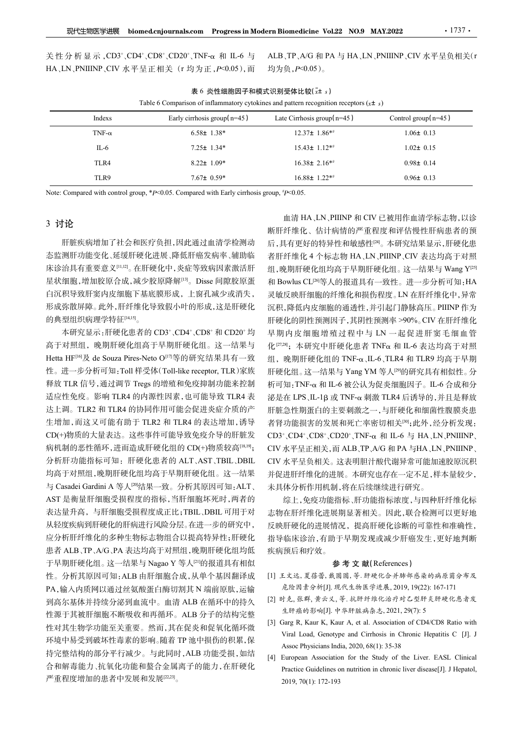| 现代生物医学进展      | biomed.cnjournals.com Progress in Modern Biomedicine Vol.22 NO.9 MAY.2022                  |                                                                            | $.1737$ .                           |
|---------------|--------------------------------------------------------------------------------------------|----------------------------------------------------------------------------|-------------------------------------|
|               |                                                                                            |                                                                            |                                     |
|               |                                                                                            |                                                                            |                                     |
|               |                                                                                            |                                                                            |                                     |
|               |                                                                                            |                                                                            |                                     |
|               |                                                                                            |                                                                            |                                     |
|               |                                                                                            |                                                                            |                                     |
|               |                                                                                            |                                                                            |                                     |
|               |                                                                                            |                                                                            |                                     |
|               | 关性分析显示, CD3+、CD4+、CD8+、CD20+、TNF-α 和 IL-6 与                                                | ALB、TP、A/G 和 PA 与 HA、LN、PNIIINP、CIV 水平呈负相关(r                               |                                     |
|               | HA、LN、PNIIINP、CIV 水平呈正相关 (r 均为正, P<0.05), 而                                                | 均为负, P<0.05)。                                                              |                                     |
|               |                                                                                            |                                                                            |                                     |
|               | Table 6 Comparison of inflammatory cytokines and pattern recognition receptors $(x \pm s)$ | 表 6 炎性细胞因子和模式识别受体比较(x+ s)                                                  |                                     |
| Indexs        | Early cirrhosis group( $n=45$ )                                                            | Late Cirrhosis group( $n=45$ )                                             | Control group $(n=45)$              |
|               | $6.58 \pm 1.38^*$                                                                          | $12.37 \pm 1.86**$                                                         | $1.06 \pm 0.13$                     |
| TNF- $\alpha$ |                                                                                            |                                                                            |                                     |
| $IL-6$        | $7.25 \pm 1.34*$                                                                           | $15.43 \pm 1.12**$                                                         | $1.02 \pm 0.15$                     |
| TLR4          | $8.22 \pm 1.09*$                                                                           | $16.38 \pm 2.16**$                                                         | $0.98 \pm 0.14$                     |
| TLR9          | $7.67 \pm 0.59*$                                                                           | $16.88 \pm 1.22**$                                                         | $0.96 \pm 0.13$                     |
|               | Note: Compared with control group, *P<0.05. Compared with Early cirrhosis group, *P<0.05.  |                                                                            |                                     |
|               |                                                                                            |                                                                            |                                     |
| 3 讨论          |                                                                                            |                                                                            | 血清 HA、LN、PIIINP 和 CIV 已被用作血清学标志物,以诊 |
|               | 肝脏疾病增加了社会和医疗负担,因此通过血清学检测动                                                                  | 断肝纤维化、估计病情的严重程度和评估慢性肝病患者的预<br>后,具有更好的特异性和敏感性 <sup>[24]</sup> 。本研究结果显示,肝硬化患 |                                     |

# 3 讨论

肝脏疾病增加了社会和医疗负担,因此通过血清学检测动 态监测肝功能变化、延缓肝硬化进展、降低肝癌发病率、辅助临 星状细胞,增加胶原合成,减少胶原降解[13]。Disse 间隙胶原蛋 白沉积导致肝窦内皮细胞下基底膜形成,上窗孔减少或消失, 形成弥散屏障。此外,肝纤维化导致假小叶的形成,这是肝硬化 的典型组织病理学特征[14,15]。 l<sub>o</sub>

本研究显示: 肝硬化患者的 CD3+、CD4+、CD8+ 和 CD20+ 均 高于对照组,晚期肝硬化组高于早期肝硬化组。这一结果与 释放 TLR 信号,通过调节 Tregs 的增殖和免疫抑制功能来控制 适应性免疫。影响 TLR4 的内源性因素,也可能导致 TLR4 表 达上调。TLR2 和 TLR4 的协同作用可能会促进炎症介质的产 生增加,而这又可能有助于 TLR2 和 TLR4 的表达增加,诱导 CD(+)物质的大量表达。这些事件可能导致免疫介导的肝脏发 病机制的恶性循环,进而造成肝硬化组的 CD(+)物质较高[18,19]; 分析肝功能指标可知:肝硬化患者的 ALT、AST、TBIL、DBIL 均高于对照组,晚期肝硬化组均高于早期肝硬化组。这一结果 <sup>与</sup> Casadei Gardini A 等人[20]结果一致。分析其原因可知:ALT、 AST 是衡量肝细胞受损程度的指标,当肝细胞坏死时,两者的 表达量升高,与肝细胞受损程度成正比;TBIL、DBIL 可用于对 从轻度疾病到肝硬化的肝病进行风险分层。在进一步的研究中, 应分析肝纤维化的多种生物标志物组合以提高特异性;肝硬化 患者 ALB、TP、A/G、PA 表达均高于对照组,晚期肝硬化组均低 着一下。 Nagao You Window Solution (1997年), Prince A Solution (1997年), Prince A Solution (1998年), A Solution (1998年), A Solution (1998年), A Solution (1998年), A Solution (1998年), A Solution (1998年), A Solution (1998年), A Sol 性。分析其原因可知:ALB 由肝细胞合成,从单个基因翻译成 PA,输入内质网以通过丝氨酸蛋白酶切割其 N 端前原肽,运输 危险因素分析[J]. 现代生物医学进展, 2019, 19(22): 167-171 到高尔基体并持续分泌到血流中。血清 ALB 在循环中的持久 性源于其被肝细胞不断吸收和再循环。ALB 分子的结构完整 <br>Halth it Walkit Times X 不正、他五 世有假名思与生气需要。 [3] Garg R, Kaur K, Kaur A, et al. Association of CD4/CD8 Ratio with 性对其生物学功能至关重要。然而,其在促炎和促氧化循环微<br>
Viral Load, Genotype and Cirrhosis in Chronic Hepatitis C [J]. J 环境中易受到破坏性毒素的影响。随着 TP 池中损伤的积累,保 Karl Bodd, Schotype did United By the Search Properties and 持完整结构的部分平行减少。与此同时, ALB 功能受损, 如结 [4] European Association for the Study of the Liver. EASL Clinical 合和解毒能力、抗氧化功能和螯合金属离子的能力,在肝硬化 严重程度增加的患者中发展和发展[22,23]。 l<sub>o</sub>

床诊治具有重要意义[11,12]。在肝硬化中,炎症等致病因素激活肝 组,晚期肝硬化组均高于早期肝硬化组。这一结果与 Wang Y<sup>[25]</sup> 和 Bowlus CL<sup>[26]</sup>等人的报道具有一致性。进一步分析可知: HA 、CD4+、CD8+ 和 CD20+均 早期内皮细胞增殖过程中与 LN 一起促进肝窦毛细血管 TNF-a  $\begin{array}{l} 6.58\pm1.38^{4} & 12.37\pm1.86^{4} & 10.66\pm0.13 \\ 1.66\pm0.118 & 7.25\pm1.34 & 1.62\pm0.16 \\ 1.66\pm0.118 & 1.62\pm0.16 \\ 1.67\pm0.12\pm0.16 \\ 1.68\pm1.22^{4} & 1.63\pm2.16^{4} & 1.63\pm2.16^{4} \\ \end{array}$  Note: Compared with control gr T.46  $7.25\pm1.34^{\circ}$  1543±11.2\* 1542±1000 0222 0.15<br>
T.180 822±1.09 822±1.09 822±1.20 088±1.10<br>
Note: Compared with control group, \*P=0.05, Compared with Early citrinosis group, \*P=0.65<br>
3 <br>
3 <br>
3 <br>
3 <br>
3 <br>
3 <br>
4 <br>
4 <br> 血清 HA、LN、PIIINP 和 CIV 已被用作血清学标志物,以诊 断肝纤维化、估计病情的严重程度和评估慢性肝病患者的预 后,具有更好的特异性和敏感性[24]。本研究结果显示,肝硬化患 者肝纤维化 4 个标志物 HA、LN、PIIINP、CIV 表达均高于对照 组,晚期肝硬化组均高于早期肝硬化组。这一结果与 Wang Y[25] <sup>和</sup> Bowlus CL[26]等人的报道具有一致性。进一步分析可知:HA 灵敏反映肝细胞的纤维化和损伤程度。LN 在肝纤维化中,异常 沉积,降低内皮细胞的通透性,并引起门静脉高压。PIIINP 作为 肝硬化的阴性预测因子,其阴性预测率 >90%。CIV 在肝纤维化 化[27,28]; 本研究中肝硬化患者 TNFα 和 IL-6 表达均高于对照 组,晚期肝硬化组的 TNF-琢、IL-6、TLR4 和 TLR9 均高于早期 15.43± 1.2\*<br>
16.38± 2.16\*\* 0.98± 0.14<br>
16.88± 1.22\*\* 0.98± 0.14<br>
79.65<br>
16.88± 1.22\*\* 0.96± 0.13<br>
17.79.005.<br>
血清 HA、LN、PHINP 和 CIV 已被用作血清学标志物, 以诊<br>
断肝纤维化、估计病情的严重程度和评估慢性服务, 指硬、内化患<br>
后,具有更好的特异性和敏感性吗。本研究结果显示,所谓:<br>
指、具有更好化的特异性和 析可知:TNF-琢 和 IL-6 被公认为促炎细胞因子。IL-6 合成和分  $\mathcal{W}$ 是在 LPS、IL-1β 或 TNF-α 刺激 TLR4 后诱导的,并且是释放 肝脏急性期蛋白的主要刺激之一,与肝硬化和细菌性腹膜炎患 者肾功能损害的发展和死亡率密切相关[30];此外,经分析发现: CD3+\CD4+\CD8+\CD20+\TNF-α和 IL-6 与 HA\LN\PNIIINP\ CIV 水平呈正相关,而 ALB、TP、A/G 和 PA 与HA、LN、PNIIINP、 CIV 水平呈负相关。这表明胆汁酸代谢异常可能加速胶原沉积 并促进肝纤维化的进展。本研究也存在一定不足,样本量较少, 未具体分析作用机制,将在后续继续进行研究。 危险因素分析[J]. 现代生物医学进展, 2019, 19(22): 167-171 [知:TNF-a: 和IL-6 被公认为促炎细胞因子。IL-6 位成和分析<br><br>在在 LPS, IL-1β 或 TNF-a:刺激 TLR4 后诱导的,并且是释放<br><br>全国的 期間 TNF-a:要例激之一,与肝硬化和细菌性腹膜炎患,<br>患期患者的发展和死亡率切相关<sup>的</sup>,其外,经分析发现:<br>"力能损害的发展和死亡率切相关。"内 H-A LN,PNIINP、<br>"力能损害的发展和死亡率切相关<sup>的</sup>,其外,经分析发现:<br>"人工中、CDS\*、CD20、T 級是在 LPS、IL-1β 或 TNF-α 刺激 TLR4 后诱导的,并且是释放<br>肝脏急性期蛋白的主要刺激之一,与肝硬化和细菌性腹膜炎患<br>若肾功能損害的发展和死亡率密切相关<sup>80</sup>;此外, 经分析发现:<br>CD4'、CD4'、CD20'、TNF-α 和 LL-6 与 HA、LN、PNIINP、<br>CIV 水平呈正相关。这表明胆汁酸代谢异常可能加速胶原沉积<br>CIV 水平呈正相关。这表明胆汁酸代谢异常可能加速胶原沉积<br>HC HA、生正相关。这 :急性期蛋白的主要刺激之一,与肝硬化和细菌性腹膜炎患<br><br>功能损害的发展和死亡率密切相关™,此外,经分析发现,<br>"、、CD4"、CD8"、CD20"、TNF-α和 L-6 与 HA、LN、PNIINP、<br>K=型工相关、 这表明图, AG 和 PA 与HA、LN、PNIINP、<br>水平呈正相关、这是明显指令代谢异常可能加速胶质沉积<br>进用纤维化的进展。本研究也存在一定不足, 样本量较少、<br>进用纤维化的进展。本研究也存在一定不足, 样本量较少、<br> 5功能损害的发展和死亡率密切相关<sup>88</sup>,此外,经分析发现:<br>", CD4", CD8", CD20", TNF-α 和 L-6 与 HA、LN、PNIIINP、<br>", CD4", CD8", CD20", TNF-α 和 L-6 与 HA、LN、PNIIINP、<br>水平呈正相关, 而 ALB、TP、A/G 和 PA 与HA、LN、PNIIINP、<br>水平呈血相关。 本新5弦 继续进行研究。<br>注册子纤维化的进展。本研究<br>法律系统的接続本项 [4] European Association for the Study of the Liver. EASL Clinical

综上,免疫功能指标、肝功能指标浓度,与四种肝纤维化标 志物在肝纤维化进展期显著相关。因此,联合检测可以更好地 反映肝硬化的进展情况,提高肝硬化诊断的可靠性和准确性, 指导临床诊治,有助于早期发现或减少肝癌发生,更好地判断 疾病预后和疗效。 水平呈正相关,而 ALB、TP、A/G 和 PA 与HA 、LN、PNIINNP、<br>水平呈负相关。这表明胆汁酸代谢异常可能加速胶原沉积<br>进用纤维化的进展。本研究也存在一定不足,样本量较少,<br>体分析作用机制,将在后续继续进行研究。<br>综上,免疫功能指标,用功能指标浓度,与四种肝纤维化标<br>标准化的进展。再现能指标浓度,与四种肝纤维化标<br>症,作用机制,将在后续继续进行研究。<br>示在所纤维化进展期显著相关。因此,联合检测可以更好地<br>机体的进展情况, 水平呈负相关。这表明胆汁酸代谢异常可能加速胶原沉积水平呈负相关。这表明胆汁酸代谢异常可能加速胶原沉积、进用纤维化的进展。本研究也存在一定不足,样本量较少,体分析作用机制,将在后续继续进行研究。<br>经上,免疫功能指标、肝功能指标浓度,与四种肝纤维化标准及疗所作用机制,将在后续继续进行研究。<br>经上,免疫功能指标、肝功能指标浓度,与四种肝纤维化标<br>在肝纤维化进展期显著相关。因此,联合检测可以更好地<br>肝硬化的进展情况,提高肝硬化诊断的可靠性和准确

#### 参 考 文 献(References)

- [1] 王文远, 夏蓓蕾, 戴圆圆, 等. 肝硬化合并肺部感染的病原菌分布及
- [2] 时克, 张群, 黄云义, 等. 抗肝纤维化治疗对乙型肝炎肝硬化患者发
- 
-